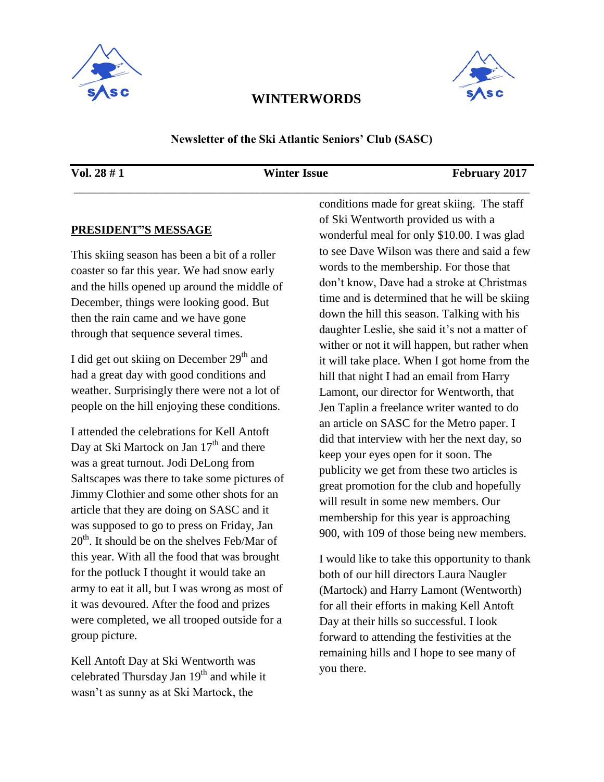



## **WINTERWORDS**

#### **Newsletter of the Ski Atlantic Seniors' Club (SASC)**

\_\_\_\_\_\_\_\_\_\_\_\_\_\_\_\_\_\_\_\_\_\_\_\_\_\_\_\_\_\_\_\_\_\_\_\_\_\_\_\_\_\_\_\_\_\_\_\_\_\_\_\_\_\_\_\_\_\_\_\_\_\_\_\_\_\_\_\_\_\_\_\_\_\_\_\_\_

#### **Vol. 28 # 1 Winter Issue February 2017**

#### **PRESIDENT"S MESSAGE**

This skiing season has been a bit of a roller coaster so far this year. We had snow early and the hills opened up around the middle of December, things were looking good. But then the rain came and we have gone through that sequence several times.

I did get out skiing on December  $29<sup>th</sup>$  and had a great day with good conditions and weather. Surprisingly there were not a lot of people on the hill enjoying these conditions.

I attended the celebrations for Kell Antoft Day at Ski Martock on Jan  $17<sup>th</sup>$  and there was a great turnout. Jodi DeLong from Saltscapes was there to take some pictures of Jimmy Clothier and some other shots for an article that they are doing on SASC and it was supposed to go to press on Friday, Jan  $20<sup>th</sup>$ . It should be on the shelves Feb/Mar of this year. With all the food that was brought for the potluck I thought it would take an army to eat it all, but I was wrong as most of it was devoured. After the food and prizes were completed, we all trooped outside for a group picture.

Kell Antoft Day at Ski Wentworth was celebrated Thursday Jan  $19<sup>th</sup>$  and while it wasn't as sunny as at Ski Martock, the

conditions made for great skiing. The staff of Ski Wentworth provided us with a wonderful meal for only \$10.00. I was glad to see Dave Wilson was there and said a few words to the membership. For those that don't know, Dave had a stroke at Christmas time and is determined that he will be skiing down the hill this season. Talking with his daughter Leslie, she said it's not a matter of wither or not it will happen, but rather when it will take place. When I got home from the hill that night I had an email from Harry Lamont, our director for Wentworth, that Jen Taplin a freelance writer wanted to do an article on SASC for the Metro paper. I did that interview with her the next day, so keep your eyes open for it soon. The publicity we get from these two articles is great promotion for the club and hopefully will result in some new members. Our membership for this year is approaching 900, with 109 of those being new members.

I would like to take this opportunity to thank both of our hill directors Laura Naugler (Martock) and Harry Lamont (Wentworth) for all their efforts in making Kell Antoft Day at their hills so successful. I look forward to attending the festivities at the remaining hills and I hope to see many of you there.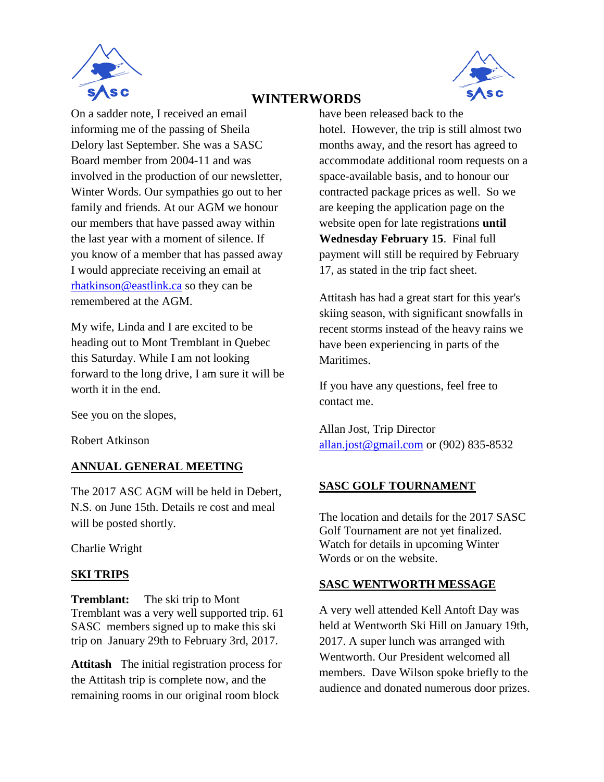



# **WINTERWORDS**

On a sadder note, I received an email informing me of the passing of Sheila Delory last September. She was a SASC Board member from 2004-11 and was involved in the production of our newsletter, Winter Words. Our sympathies go out to her family and friends. At our AGM we honour our members that have passed away within the last year with a moment of silence. If you know of a member that has passed away I would appreciate receiving an email at [rhatkinson@eastlink.ca](mailto:rhatkinson@eastlink.ca) so they can be remembered at the AGM.

My wife, Linda and I are excited to be heading out to Mont Tremblant in Quebec this Saturday. While I am not looking forward to the long drive, I am sure it will be worth it in the end.

See you on the slopes,

Robert Atkinson

### **ANNUAL GENERAL MEETING**

The 2017 ASC AGM will be held in Debert, N.S. on June 15th. Details re cost and meal will be posted shortly.

Charlie Wright

### **SKI TRIPS**

**Tremblant:** The ski trip to Mont Tremblant was a very well supported trip. 61 SASC members signed up to make this ski trip on January 29th to February 3rd, 2017.

**Attitash** The initial registration process for the Attitash trip is complete now, and the remaining rooms in our original room block

have been released back to the hotel. However, the trip is still almost two months away, and the resort has agreed to accommodate additional room requests on a space-available basis, and to honour our contracted package prices as well. So we are keeping the application page on the website open for late registrations **until Wednesday February 15**. Final full payment will still be required by February 17, as stated in the trip fact sheet.

Attitash has had a great start for this year's skiing season, with significant snowfalls in recent storms instead of the heavy rains we have been experiencing in parts of the Maritimes.

If you have any questions, feel free to contact me.

Allan Jost, Trip Director [allan.jost@gmail.com](mailto:allan.jost@gmail.com) or (902) 835-8532

### **SASC GOLF TOURNAMENT**

The location and details for the 2017 SASC Golf Tournament are not yet finalized. Watch for details in upcoming Winter Words or on the website.

### **SASC WENTWORTH MESSAGE**

A very well attended Kell Antoft Day was held at Wentworth Ski Hill on January 19th, 2017. A super lunch was arranged with Wentworth. Our President welcomed all members. Dave Wilson spoke briefly to the audience and donated numerous door prizes.